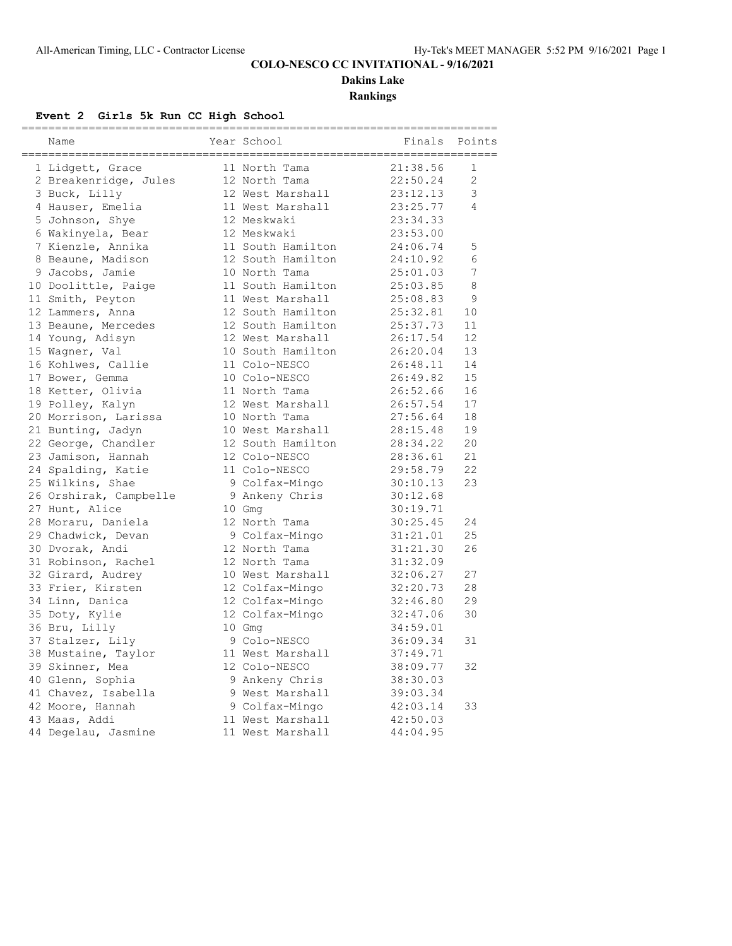# **COLO-NESCO CC INVITATIONAL - 9/16/2021**

**Dakins Lake**

**Rankings**

# **Event 2 Girls 5k Run CC High School**

| Name                   | Year School       | Finals   | Points         |
|------------------------|-------------------|----------|----------------|
| 1 Lidgett, Grace       | 11 North Tama     | 21:38.56 | $\mathbf 1$    |
| 2 Breakenridge, Jules  | 12 North Tama     | 22:50.24 | $\overline{2}$ |
| 3 Buck, Lilly          | 12 West Marshall  | 23:12.13 | 3              |
| 4 Hauser, Emelia       | 11 West Marshall  | 23:25.77 | 4              |
| 5 Johnson, Shye        | 12 Meskwaki       | 23:34.33 |                |
| 6 Wakinyela, Bear      | 12 Meskwaki       | 23:53.00 |                |
| 7 Kienzle, Annika      | 11 South Hamilton | 24:06.74 | 5              |
| 8 Beaune, Madison      | 12 South Hamilton | 24:10.92 | 6              |
| 9 Jacobs, Jamie        | 10 North Tama     | 25:01.03 | 7              |
| 10 Doolittle, Paige    | 11 South Hamilton | 25:03.85 | 8              |
| 11 Smith, Peyton       | 11 West Marshall  | 25:08.83 | 9              |
| 12 Lammers, Anna       | 12 South Hamilton | 25:32.81 | 10             |
| 13 Beaune, Mercedes    | 12 South Hamilton | 25:37.73 | 11             |
| 14 Young, Adisyn       | 12 West Marshall  | 26:17.54 | 12             |
| 15 Wagner, Val         | 10 South Hamilton | 26:20.04 | 13             |
| 16 Kohlwes, Callie     | 11 Colo-NESCO     | 26:48.11 | 14             |
| 17 Bower, Gemma        | 10 Colo-NESCO     | 26:49.82 | 15             |
| 18 Ketter, Olivia      | 11 North Tama     | 26:52.66 | 16             |
| 19 Polley, Kalyn       | 12 West Marshall  | 26:57.54 | 17             |
| 20 Morrison, Larissa   | 10 North Tama     | 27:56.64 | 18             |
| 21 Bunting, Jadyn      | 10 West Marshall  | 28:15.48 | 19             |
| 22 George, Chandler    | 12 South Hamilton | 28:34.22 | 20             |
| 23 Jamison, Hannah     | 12 Colo-NESCO     | 28:36.61 | 21             |
| 24 Spalding, Katie     | 11 Colo-NESCO     | 29:58.79 | 22             |
| 25 Wilkins, Shae       | 9 Colfax-Mingo    | 30:10.13 | 23             |
| 26 Orshirak, Campbelle | 9 Ankeny Chris    | 30:12.68 |                |
| 27 Hunt, Alice         | 10 Gmg            | 30:19.71 |                |
| 28 Moraru, Daniela     | 12 North Tama     | 30:25.45 | 24             |
| 29 Chadwick, Devan     | 9 Colfax-Mingo    | 31:21.01 | 25             |
| 30 Dvorak, Andi        | 12 North Tama     | 31:21.30 | 26             |
| 31 Robinson, Rachel    | 12 North Tama     | 31:32.09 |                |
| 32 Girard, Audrey      | 10 West Marshall  | 32:06.27 | 27             |
| 33 Frier, Kirsten      | 12 Colfax-Mingo   | 32:20.73 | 28             |
| 34 Linn, Danica        | 12 Colfax-Mingo   | 32:46.80 | 29             |
| 35 Doty, Kylie         | 12 Colfax-Mingo   | 32:47.06 | 30             |
| 36 Bru, Lilly          | 10 Gmg            | 34:59.01 |                |
| 37 Stalzer, Lily       | 9 Colo-NESCO      | 36:09.34 | 31             |
| 38 Mustaine, Taylor    | 11 West Marshall  | 37:49.71 |                |
| 39 Skinner, Mea        | 12 Colo-NESCO     | 38:09.77 | 32             |
| 40 Glenn, Sophia       | 9 Ankeny Chris    | 38:30.03 |                |
| 41 Chavez, Isabella    | 9 West Marshall   | 39:03.34 |                |
| 42 Moore, Hannah       | 9 Colfax-Mingo    | 42:03.14 | 33             |
| 43 Maas, Addi          | 11 West Marshall  | 42:50.03 |                |
| 44 Degelau, Jasmine    | 11 West Marshall  | 44:04.95 |                |